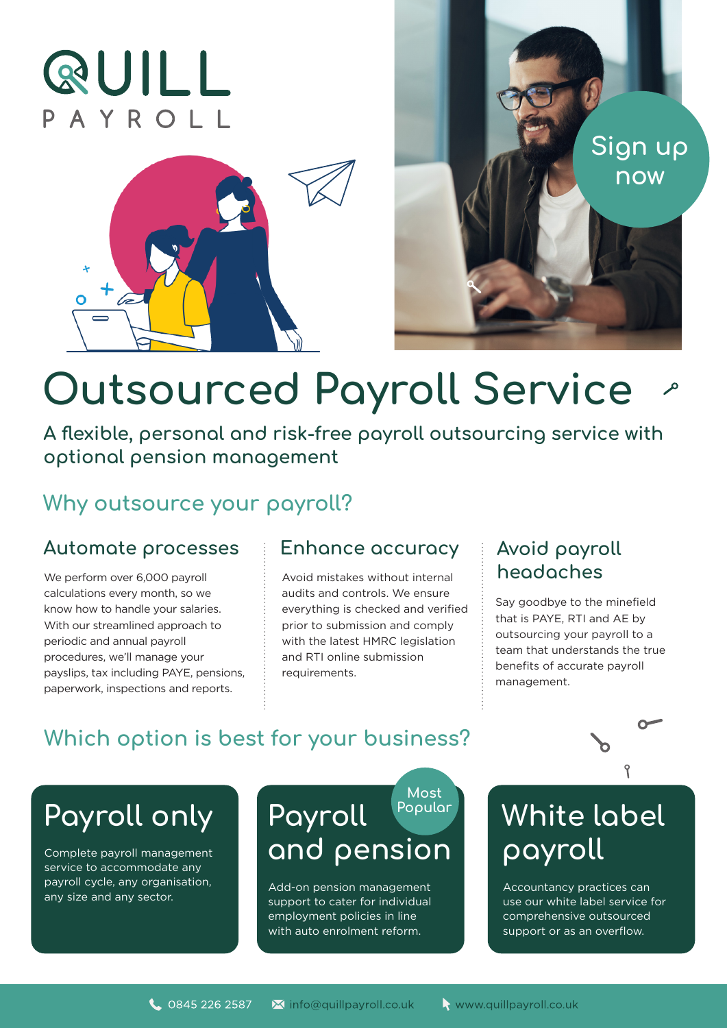# **QUILL** PAYROLL





# **Outsourced Payroll Service**

**A flexible, personal and risk-free payroll outsourcing service with optional pension management**

### **Why outsource your payroll?**

#### Automate processes **Enhance accuracy E** Avoid payroll

We perform over 6,000 payroll calculations every month, so we know how to handle your salaries. With our streamlined approach to periodic and annual payroll procedures, we'll manage your payslips, tax including PAYE, pensions, paperwork, inspections and reports.

Avoid mistakes without internal audits and controls. We ensure everything is checked and verified prior to submission and comply with the latest HMRC legislation and RTI online submission requirements.

## **headaches**

Say goodbye to the minefield that is PAYE, RTI and AE by outsourcing your payroll to a team that understands the true benefits of accurate payroll management.

## **Which option is best for your business?**

## **Payroll only Payroll**

Complete payroll management service to accommodate any payroll cycle, any organisation, payroll cycle, any organisation, and a and any size and any sector.

## **and pension Most Popular**

support to cater for individual employment policies in line with auto enrolment reform.

## **White label payroll**

Accountancy practices can use our white label service for comprehensive outsourced support or as an overflow.